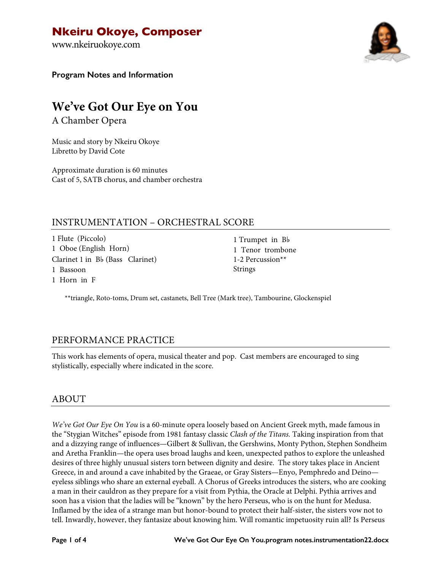www.nkeiruokoye.com



**Program Notes and Information**

# **We've Got Our Eye on You**

A Chamber Opera

Music and story by Nkeiru Okoye Libretto by David Cote

Approximate duration is 60 minutes Cast of 5, SATB chorus, and chamber orchestra

# INSTRUMENTATION – ORCHESTRAL SCORE

1 Flute (Piccolo) 1 Oboe (English Horn) Clarinet 1 in B♭ (Bass Clarinet) 1 Bassoon 1 Horn in F

1 Trumpet in B♭ 1 Tenor trombone 1-2 Percussion\*\* Strings

\*\*triangle, Roto-toms, Drum set, castanets, Bell Tree (Mark tree), Tambourine, Glockenspiel

# PERFORMANCE PRACTICE

This work has elements of opera, musical theater and pop. Cast members are encouraged to sing stylistically, especially where indicated in the score.

### ABOUT

*We've Got Our Eye On You* is a 60-minute opera loosely based on Ancient Greek myth, made famous in the "Stygian Witches" episode from 1981 fantasy classic *Clash of the Titans.* Taking inspiration from that and a dizzying range of influences—Gilbert & Sullivan, the Gershwins, Monty Python, Stephen Sondheim and Aretha Franklin—the opera uses broad laughs and keen, unexpected pathos to explore the unleashed desires of three highly unusual sisters torn between dignity and desire. The story takes place in Ancient Greece, in and around a cave inhabited by the Graeae, or Gray Sisters—Enyo, Pemphredo and Deino eyeless siblings who share an external eyeball. A Chorus of Greeks introduces the sisters, who are cooking a man in their cauldron as they prepare for a visit from Pythia, the Oracle at Delphi. Pythia arrives and soon has a vision that the ladies will be "known" by the hero Perseus, who is on the hunt for Medusa. Inflamed by the idea of a strange man but honor-bound to protect their half-sister, the sisters vow not to tell. Inwardly, however, they fantasize about knowing him. Will romantic impetuosity ruin all? Is Perseus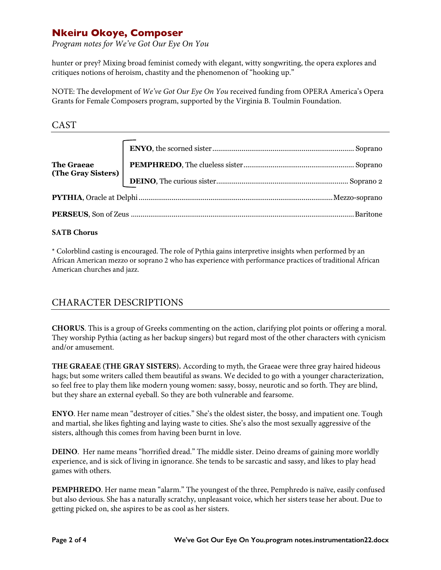*Program notes for We've Got Our Eye On You*

hunter or prey? Mixing broad feminist comedy with elegant, witty songwriting, the opera explores and critiques notions of heroism, chastity and the phenomenon of "hooking up."

NOTE: The development of *We've Got Our Eye On You* received funding from OPERA America's Opera Grants for Female Composers program, supported by the Virginia B. Toulmin Foundation.

CAST

### **SATB Chorus**

\* Colorblind casting is encouraged. The role of Pythia gains interpretive insights when performed by an African American mezzo or soprano 2 who has experience with performance practices of traditional African American churches and jazz.

# CHARACTER DESCRIPTIONS

**CHORUS**. This is a group of Greeks commenting on the action, clarifying plot points or offering a moral. They worship Pythia (acting as her backup singers) but regard most of the other characters with cynicism and/or amusement.

**THE GRAEAE (THE GRAY SISTERS).** According to myth, the Graeae were three gray haired hideous hags; but some writers called them beautiful as swans. We decided to go with a younger characterization, so feel free to play them like modern young women: sassy, bossy, neurotic and so forth. They are blind, but they share an external eyeball. So they are both vulnerable and fearsome.

**ENYO**. Her name mean "destroyer of cities." She's the oldest sister, the bossy, and impatient one. Tough and martial, she likes fighting and laying waste to cities. She's also the most sexually aggressive of the sisters, although this comes from having been burnt in love.

**DEINO**. Her name means "horrified dread." The middle sister. Deino dreams of gaining more worldly experience, and is sick of living in ignorance. She tends to be sarcastic and sassy, and likes to play head games with others.

**PEMPHREDO**. Her name mean "alarm." The youngest of the three, Pemphredo is naïve, easily confused but also devious. She has a naturally scratchy, unpleasant voice, which her sisters tease her about. Due to getting picked on, she aspires to be as cool as her sisters.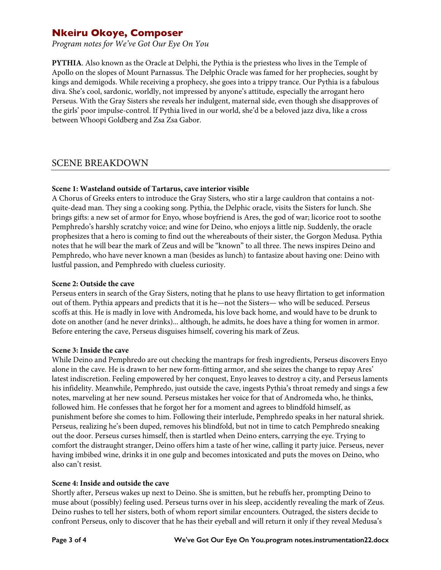*Program notes for We've Got Our Eye On You*

**PYTHIA**. Also known as the Oracle at Delphi, the Pythia is the priestess who lives in the Temple of Apollo on the slopes of Mount Parnassus. The Delphic Oracle was famed for her prophecies, sought by kings and demigods. While receiving a prophecy, she goes into a trippy trance. Our Pythia is a fabulous diva. She's cool, sardonic, worldly, not impressed by anyone's attitude, especially the arrogant hero Perseus. With the Gray Sisters she reveals her indulgent, maternal side, even though she disapproves of the girls' poor impulse-control. If Pythia lived in our world, she'd be a beloved jazz diva, like a cross between Whoopi Goldberg and Zsa Zsa Gabor.

### SCENE BREAKDOWN

### **Scene 1: Wasteland outside of Tartarus, cave interior visible**

A Chorus of Greeks enters to introduce the Gray Sisters, who stir a large cauldron that contains a notquite-dead man. They sing a cooking song. Pythia, the Delphic oracle, visits the Sisters for lunch. She brings gifts: a new set of armor for Enyo, whose boyfriend is Ares, the god of war; licorice root to soothe Pemphredo's harshly scratchy voice; and wine for Deino, who enjoys a little nip. Suddenly, the oracle prophesizes that a hero is coming to find out the whereabouts of their sister, the Gorgon Medusa. Pythia notes that he will bear the mark of Zeus and will be "known" to all three. The news inspires Deino and Pemphredo, who have never known a man (besides as lunch) to fantasize about having one: Deino with lustful passion, and Pemphredo with clueless curiosity.

### **Scene 2: Outside the cave**

Perseus enters in search of the Gray Sisters, noting that he plans to use heavy flirtation to get information out of them. Pythia appears and predicts that it is he—not the Sisters— who will be seduced. Perseus scoffs at this. He is madly in love with Andromeda, his love back home, and would have to be drunk to dote on another (and he never drinks)... although, he admits, he does have a thing for women in armor. Before entering the cave, Perseus disguises himself, covering his mark of Zeus.

#### **Scene 3: Inside the cave**

While Deino and Pemphredo are out checking the mantraps for fresh ingredients, Perseus discovers Enyo alone in the cave. He is drawn to her new form-fitting armor, and she seizes the change to repay Ares' latest indiscretion. Feeling empowered by her conquest, Enyo leaves to destroy a city, and Perseus laments his infidelity. Meanwhile, Pemphredo, just outside the cave, ingests Pythia's throat remedy and sings a few notes, marveling at her new sound. Perseus mistakes her voice for that of Andromeda who, he thinks, followed him. He confesses that he forgot her for a moment and agrees to blindfold himself, as punishment before she comes to him. Following their interlude, Pemphredo speaks in her natural shriek. Perseus, realizing he's been duped, removes his blindfold, but not in time to catch Pemphredo sneaking out the door. Perseus curses himself, then is startled when Deino enters, carrying the eye. Trying to comfort the distraught stranger, Deino offers him a taste of her wine, calling it party juice. Perseus, never having imbibed wine, drinks it in one gulp and becomes intoxicated and puts the moves on Deino, who also can't resist.

### **Scene 4: Inside and outside the cave**

Shortly after, Perseus wakes up next to Deino. She is smitten, but he rebuffs her, prompting Deino to muse about (possibly) feeling used. Perseus turns over in his sleep, accidently revealing the mark of Zeus. Deino rushes to tell her sisters, both of whom report similar encounters. Outraged, the sisters decide to confront Perseus, only to discover that he has their eyeball and will return it only if they reveal Medusa's